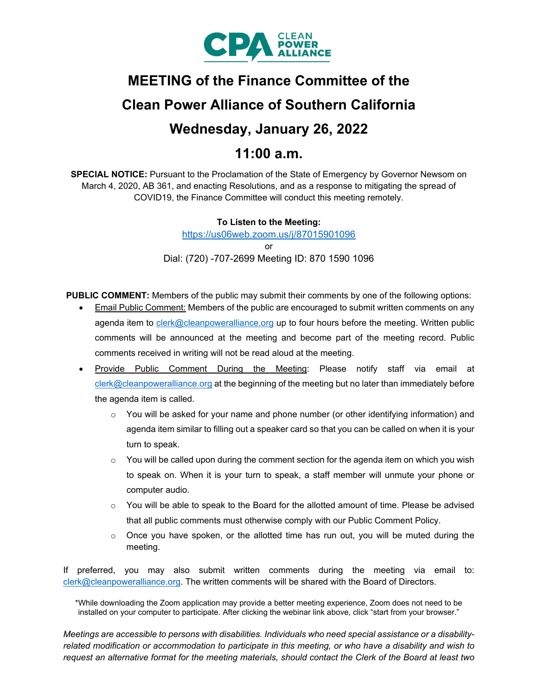

# **MEETING of the Finance Committee of the Clean Power Alliance of Southern California Wednesday, January 26, 2022 11:00 a.m.**

**SPECIAL NOTICE:** Pursuant to the Proclamation of the State of Emergency by Governor Newsom on March 4, 2020, AB 361, and enacting Resolutions, and as a response to mitigating the spread of COVID19, the Finance Committee will conduct this meeting remotely.

> **To Listen to the Meeting:**  <https://us06web.zoom.us/j/87015901096> or Dial: (720) -707-2699 Meeting ID: 870 1590 1096

**PUBLIC COMMENT:** Members of the public may submit their comments by one of the following options:

- **Email Public Comment: Members of the public are encouraged to submit written comments on any** agenda item to [clerk@cleanpoweralliance.org](mailto:clerk@cleanpoweralliance.org) up to four hours before the meeting. Written public comments will be announced at the meeting and become part of the meeting record. Public comments received in writing will not be read aloud at the meeting.
- Provide Public Comment During the Meeting: Please notify staff via email at [clerk@cleanpoweralliance.org](mailto:clerk@cleanpoweralliance.org) at the beginning of the meeting but no later than immediately before the agenda item is called.
	- o You will be asked for your name and phone number (or other identifying information) and agenda item similar to filling out a speaker card so that you can be called on when it is your turn to speak.
	- $\circ$  You will be called upon during the comment section for the agenda item on which you wish to speak on. When it is your turn to speak, a staff member will unmute your phone or computer audio.
	- $\circ$  You will be able to speak to the Board for the allotted amount of time. Please be advised that all public comments must otherwise comply with our Public Comment Policy.
	- $\circ$  Once you have spoken, or the allotted time has run out, you will be muted during the meeting.

If preferred, you may also submit written comments during the meeting via email to: [clerk@cleanpoweralliance.org.](mailto:clerk@cleanpoweralliance.org) The written comments will be shared with the Board of Directors.

\*While downloading the Zoom application may provide a better meeting experience, Zoom does not need to be installed on your computer to participate. After clicking the webinar link above, click "start from your browser."

*Meetings are accessible to persons with disabilities. Individuals who need special assistance or a disabilityrelated modification or accommodation to participate in this meeting, or who have a disability and wish to request an alternative format for the meeting materials, should contact the Clerk of the Board at least two*